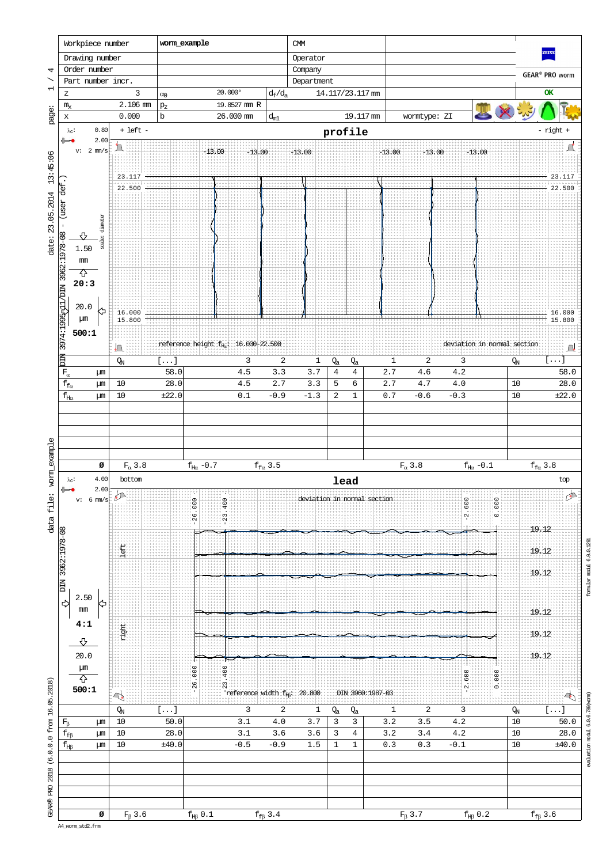

evaluation modul 6.0.0.789(worm)

A4\_worm\_std2.frm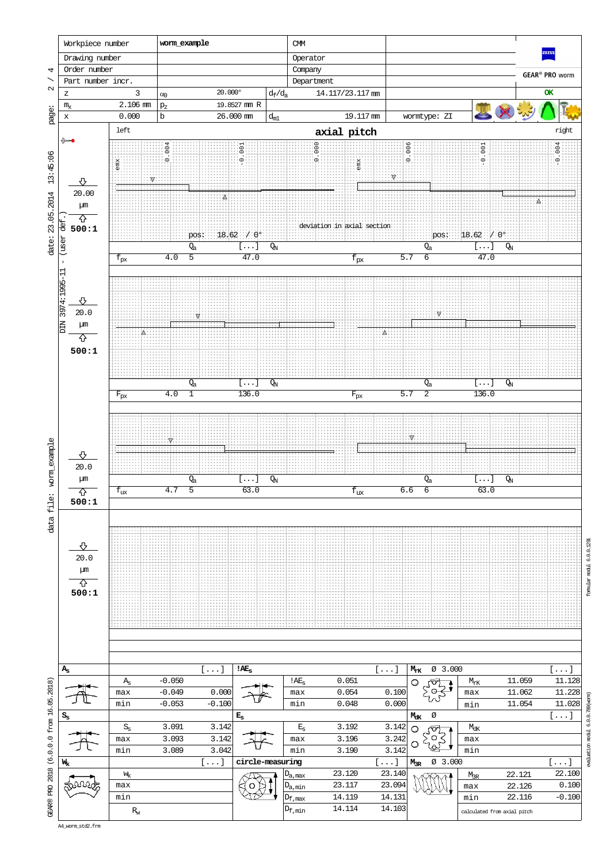![](_page_1_Figure_0.jpeg)

evaluation modul 6.0.0.789(worm)

A4\_worm\_std2.frm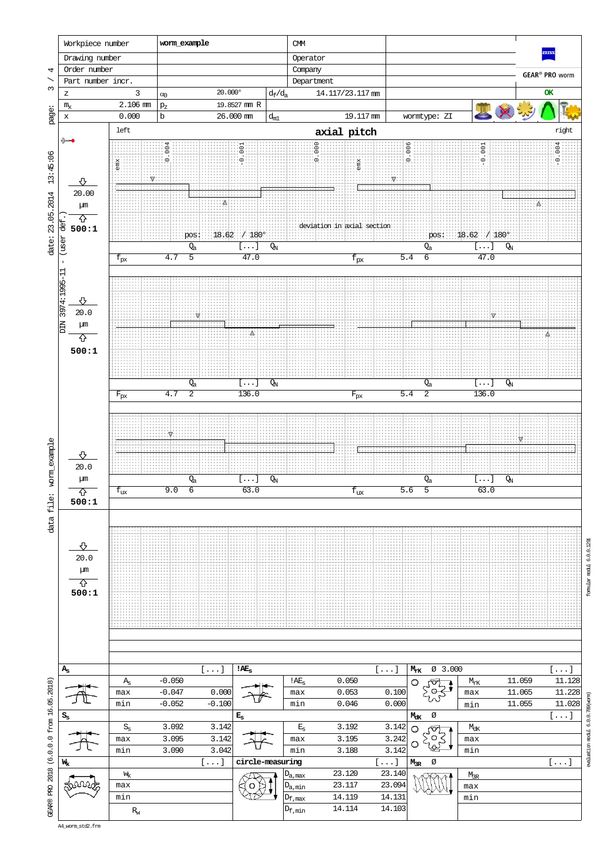![](_page_2_Figure_0.jpeg)

formular modul 6.0.0.1291

evaluation modul 6.0.0.789(worm)